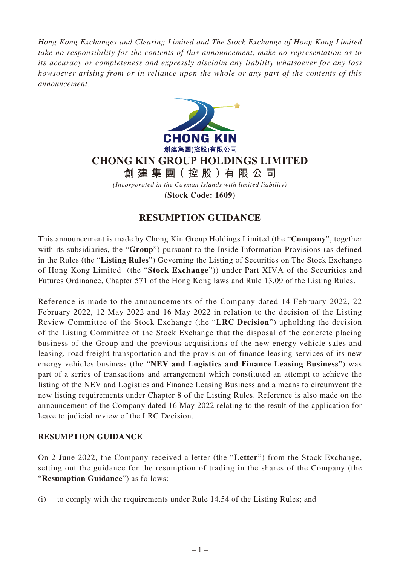*Hong Kong Exchanges and Clearing Limited and The Stock Exchange of Hong Kong Limited take no responsibility for the contents of this announcement, make no representation as to its accuracy or completeness and expressly disclaim any liability whatsoever for any loss howsoever arising from or in reliance upon the whole or any part of the contents of this announcement.*



**CHONG KIN GROUP HOLDINGS LIMITED**

**創建集團(控股)有限公司**

*(Incorporated in the Cayman Islands with limited liability)*

**(Stock Code: 1609)**

## **RESUMPTION GUIDANCE**

This announcement is made by Chong Kin Group Holdings Limited (the "**Company**", together with its subsidiaries, the "**Group**") pursuant to the Inside Information Provisions (as defined in the Rules (the "**Listing Rules**") Governing the Listing of Securities on The Stock Exchange of Hong Kong Limited (the "**Stock Exchange**")) under Part XIVA of the Securities and Futures Ordinance, Chapter 571 of the Hong Kong laws and Rule 13.09 of the Listing Rules.

Reference is made to the announcements of the Company dated 14 February 2022, 22 February 2022, 12 May 2022 and 16 May 2022 in relation to the decision of the Listing Review Committee of the Stock Exchange (the "**LRC Decision**") upholding the decision of the Listing Committee of the Stock Exchange that the disposal of the concrete placing business of the Group and the previous acquisitions of the new energy vehicle sales and leasing, road freight transportation and the provision of finance leasing services of its new energy vehicles business (the "**NEV and Logistics and Finance Leasing Business**") was part of a series of transactions and arrangement which constituted an attempt to achieve the listing of the NEV and Logistics and Finance Leasing Business and a means to circumvent the new listing requirements under Chapter 8 of the Listing Rules. Reference is also made on the announcement of the Company dated 16 May 2022 relating to the result of the application for leave to judicial review of the LRC Decision.

## **RESUMPTION GUIDANCE**

On 2 June 2022, the Company received a letter (the "**Letter**") from the Stock Exchange, setting out the guidance for the resumption of trading in the shares of the Company (the "**Resumption Guidance**") as follows:

(i) to comply with the requirements under Rule 14.54 of the Listing Rules; and